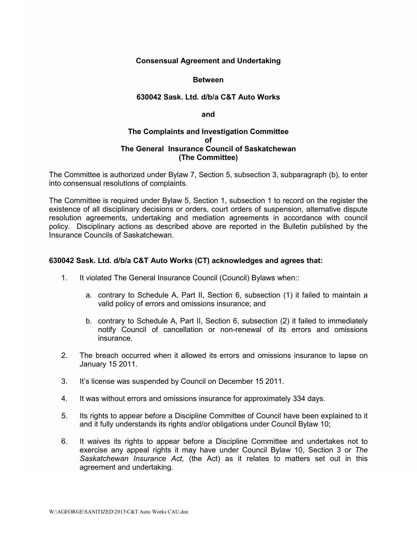## **Consensual Agreement and Undertaking**

### **Between**

### **630042 Sask. Ltd. d/b/a C&T Auto Works**

#### **and**

### **The Complaints and Investigation Committee of The General Insurance Council of Saskatchewan (The Committee)**

The Committee is authorized under Bylaw 7, Section 5, subsection 3, subparagraph (b), to enter into consensual resolutions of complaints.

The Committee is required under Bylaw 5, Section 1, subsection 1 to record on the register the existence of all disciplinary decisions or orders, court orders of suspension, alternative dispute resolution agreements, undertaking and mediation agreements in accordance with council policy. Disciplinary actions as described above are reported in the Bulletin published by the Insurance Councils of Saskatchewan.

## **630042 Sask. Ltd. d/b/a C&T Auto Works (CT) acknowledges and agrees that:**

- 1. It violated The General Insurance Council (Council) Bylaws when::
	- a. contrary to Schedule A, Part II, Section 6, subsection (1) it failed to maintain a valid policy of errors and omissions insurance; and
	- b. contrary to Schedule A, Part II, Section 6, subsection (2) it failed to immediately notify Council of cancellation or non-renewal of its errors and omissions insurance.
- 2. The breach occurred when it allowed its errors and omissions insurance to lapse on January 15 2011.
- 3. It's license was suspended by Council on December 15 2011.
- 4. It was without errors and omissions insurance for approximately 334 days.
- 5. Its rights to appear before a Discipline Committee of Council have been explained to it and it fully understands its rights and/or obligations under Council Bylaw 10;
- 6. It waives its rights to appear before a Discipline Committee and undertakes not to exercise any appeal rights it may have under Council Bylaw 10, Section 3 or *The Saskatchewan Insurance Act,* (the Act) as it relates to matters set out in this agreement and undertaking.